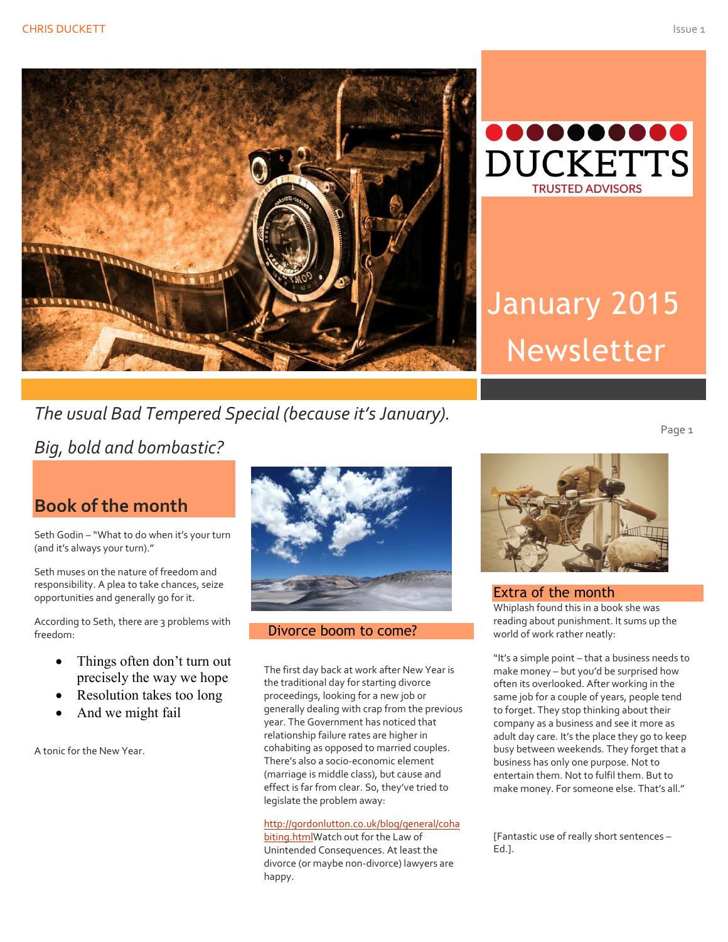



# January 2015 Newsletter

## *The usual Bad Tempered Special (because it's January).*

*Big, bold and bombastic?*

### **Book of the month**

Seth Godin - "What to do when it's your turn (and it's always your turn)."

Seth muses on the nature of freedom and responsibility. A plea to take chances, seize opportunities and generally go for it.

According to Seth, there are 3 problems with freedom:

- Things often don't turn out precisely the way we hope
- Resolution takes too long
- And we might fail

A tonic for the New Year.



#### Divorce boom to come?

The first day back at work after New Year is the traditional day for starting divorce proceedings, looking for a new job or generally dealing with crap from the previous year. The Government has noticed that relationship failure rates are higher in cohabiting as opposed to married couples. There's also a socio-economic element (marriage is middle class), but cause and effect is far from clear. So, they've tried to legislate the problem away:

#### [http://gordonlutton.co.uk/blog/general/coha](http://gordonlutton.co.uk/blog/general/cohabiting.html)

[biting.htmlW](http://gordonlutton.co.uk/blog/general/cohabiting.html)atch out for the Law of Unintended Consequences. At least the divorce (or maybe non-divorce) lawyers are happy.



Extra of the month Whiplash found this in a book she was reading about punishment. It sums up the world of work rather neatly:

"It's a simple point – that a business needs to make money – but you'd be surprised how often its overlooked. After working in the same job for a couple of years, people tend to forget. They stop thinking about their company as a business and see it more as adult day care. It's the place they go to keep busy between weekends. They forget that a business has only one purpose. Not to entertain them. Not to fulfil them. But to make money. For someone else. That's all."

[Fantastic use of really short sentences – Ed.].

Page<sub>1</sub>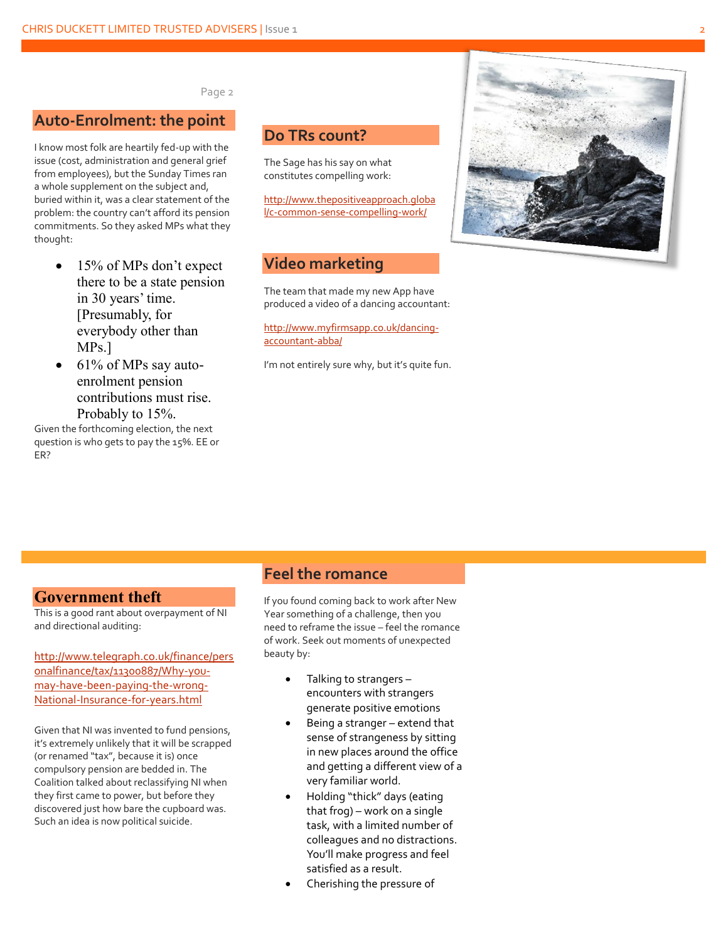2

#### Page 2

#### **Auto -Enrolment: the point**

I know most folk are heartily fed -up with the issue (cost, administration and general grief from employees), but the Sunday Times ran a whole supplement on the subject and, buried within it, was a clear statement of the problem: the country can't afford its pension commitments. So they asked MPs what they thought:

- 15% of MPs don't expect there to be a state pension in 30 years' time. [Presumably, for everybody other than MPs.]
- 61% of MPs say autoenrolment pension contributions must rise. Probably to 15%.

Given the forthcoming election, the next question is who gets to pay the 15%. EE or ER?

#### **Do TRs count?**

The Sage has his say on what constitutes compelling work:

[http://www.thepositiveapproach.globa](http://www.thepositiveapproach.global/c-common-sense-compelling-work/) l/c -common -sense [-compelling](http://www.thepositiveapproach.global/c-common-sense-compelling-work/) -work/

#### **Video marketing**

The team that made my new App have produced a video of a dancing accountant:

[http://www.myfirmsapp.co.uk/dancing](http://www.myfirmsapp.co.uk/dancing-accountant-abba/) [accountant](http://www.myfirmsapp.co.uk/dancing-accountant-abba/) -abba/

I'm not entirely sure why, but it's quite fun.



#### **Government theft**

This is a good rant about overpayment of NI and directional auditing:

[http://www.telegraph.co.uk/finance/pers](http://www.telegraph.co.uk/finance/personalfinance/tax/11300887/Why-you-may-have-been-paying-the-wrong-National-Insurance-for-years.html) [onalfinance/tax/11300887/Why](http://www.telegraph.co.uk/finance/personalfinance/tax/11300887/Why-you-may-have-been-paying-the-wrong-National-Insurance-for-years.html) -you may-have-been-[paying](http://www.telegraph.co.uk/finance/personalfinance/tax/11300887/Why-you-may-have-been-paying-the-wrong-National-Insurance-for-years.html)-the-wrong-National -Insurance -for -[years.html](http://www.telegraph.co.uk/finance/personalfinance/tax/11300887/Why-you-may-have-been-paying-the-wrong-National-Insurance-for-years.html)

Given that NI was invented to fund pensions, it's extremely unlikely that it will be scrapped (or renamed "tax", because it is) once compulsory pension are bedded in. The Coalition talked about reclassifying NI when they first came to power, but before they discovered just how bare the cupboard was. Such an idea is now political suicide.

#### **Feel the romance**

If you found coming back to work after New Year something of a challenge, then you need to reframe the issue – feel the romance of work. Seek out moments of unexpected beauty by:

- Talking to strangers encounters with strangers generate positive emotions
- Being a stranger extend that sense of strangeness by sitting in new places around the office and getting a different view of a very familiar world.
- Holding "thick" days (eating that frog) – work on a single task, with a limited number of colleagues and no distractions. You'll make progress and feel satisfied as a result.
- Cherishing the pressure of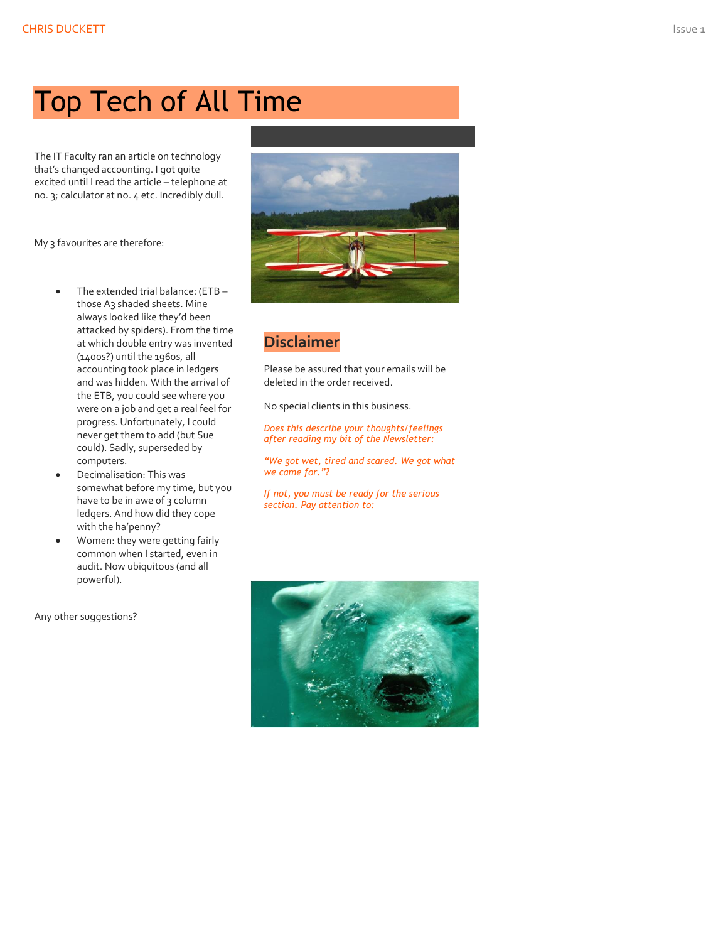# Top Tech of All Time

The IT Faculty ran an article on technology that's changed accounting. I got quite excited until I read the article – telephone at no. 3; calculator at no. 4 etc. Incredibly dull.

My 3 favourites are therefore:

- The extended trial balance: (ETB those A3 shaded sheets. Mine always looked like they'd been attacked by spiders). From the time at which double entry was invented (1400s?) until the 1960s, all accounting took place in ledgers and was hidden. With the arrival of the ETB, you could see where you were on a job and get a real feel for progress. Unfortunately, I could never get them to add (but Sue could). Sadly, superseded by computers.
- Decimalisation: This was somewhat before my time, but you have to be in awe of 3 column ledgers. And how did they cope with the ha'penny?
- Women: they were getting fairly common when I started, even in audit. Now ubiquitous (and all powerful).

Any other suggestions?



#### **Disclaimer**

Please be assured that your emails will be deleted in the order received.

No special clients in this business.

*Does this describe your thoughts/feelings after reading my bit of the Newsletter:*

*"We got wet, tired and scared. We got what we came for."?*

*If not, you must be ready for the serious section. Pay attention to:*